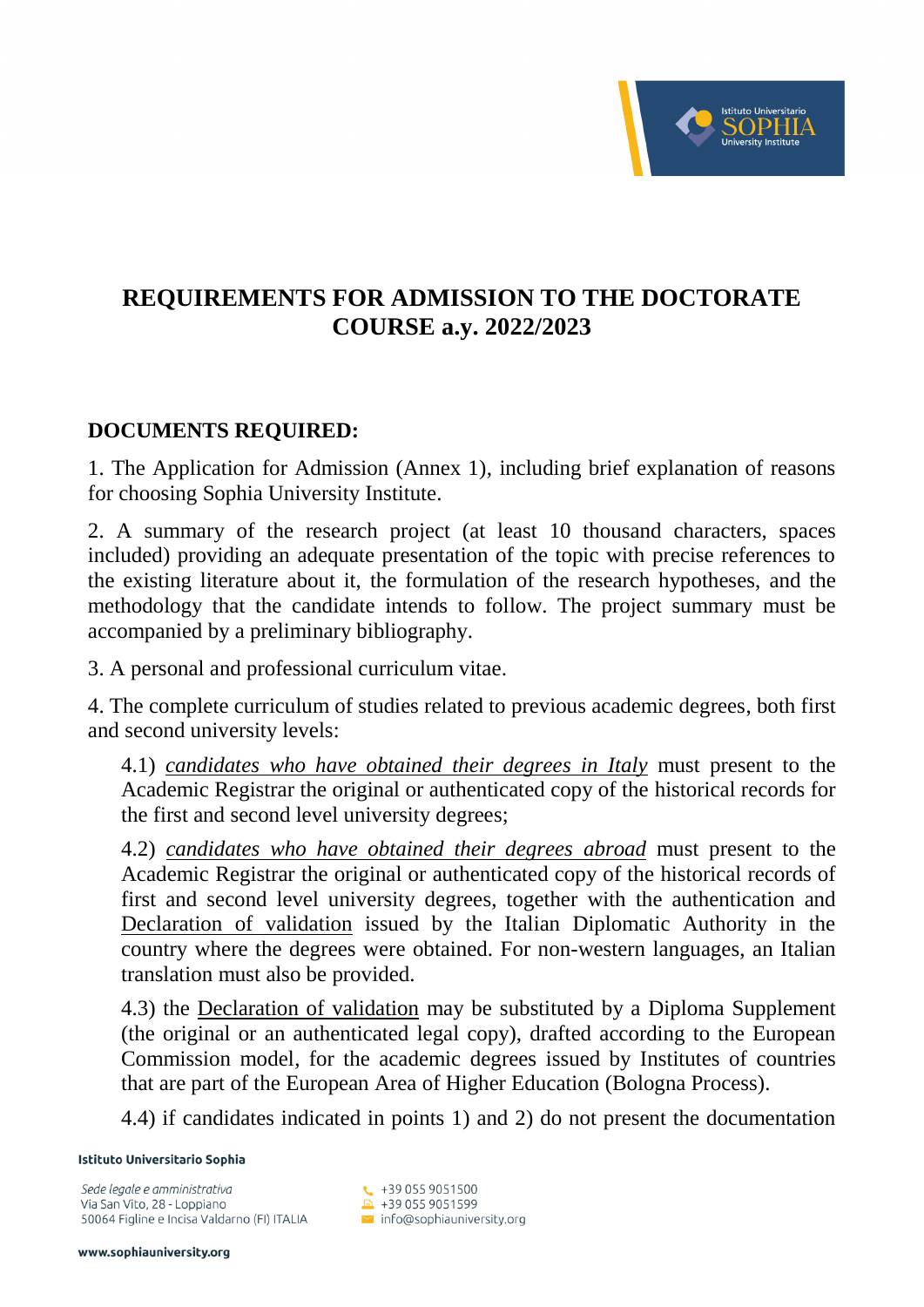

## **REQUIREMENTS FOR ADMISSION TO THE DOCTORATE COURSE a.y. 2022/2023**

## **DOCUMENTS REQUIRED:**

1. The Application for Admission (Annex 1), including brief explanation of reasons for choosing Sophia University Institute.

2. A summary of the research project (at least 10 thousand characters, spaces included) providing an adequate presentation of the topic with precise references to the existing literature about it, the formulation of the research hypotheses, and the methodology that the candidate intends to follow. The project summary must be accompanied by a preliminary bibliography.

3. A personal and professional curriculum vitae.

4. The complete curriculum of studies related to previous academic degrees, both first and second university levels:

4.1) *candidates who have obtained their degrees in Italy* must present to the Academic Registrar the original or authenticated copy of the historical records for the first and second level university degrees;

4.2) *candidates who have obtained their degrees abroad* must present to the Academic Registrar the original or authenticated copy of the historical records of first and second level university degrees, together with the authentication and Declaration of validation issued by the Italian Diplomatic Authority in the country where the degrees were obtained. For non-western languages, an Italian translation must also be provided.

4.3) the Declaration of validation may be substituted by a Diploma Supplement (the original or an authenticated legal copy), drafted according to the European Commission model, for the academic degrees issued by Institutes of countries that are part of the European Area of Higher Education (Bologna Process).

4.4) if candidates indicated in points 1) and 2) do not present the documentation

Istituto Universitario Sophia

Sede legale e amministrativa Via San Vito, 28 - Loppiano 50064 Figline e Incisa Valdarno (FI) ITALIA